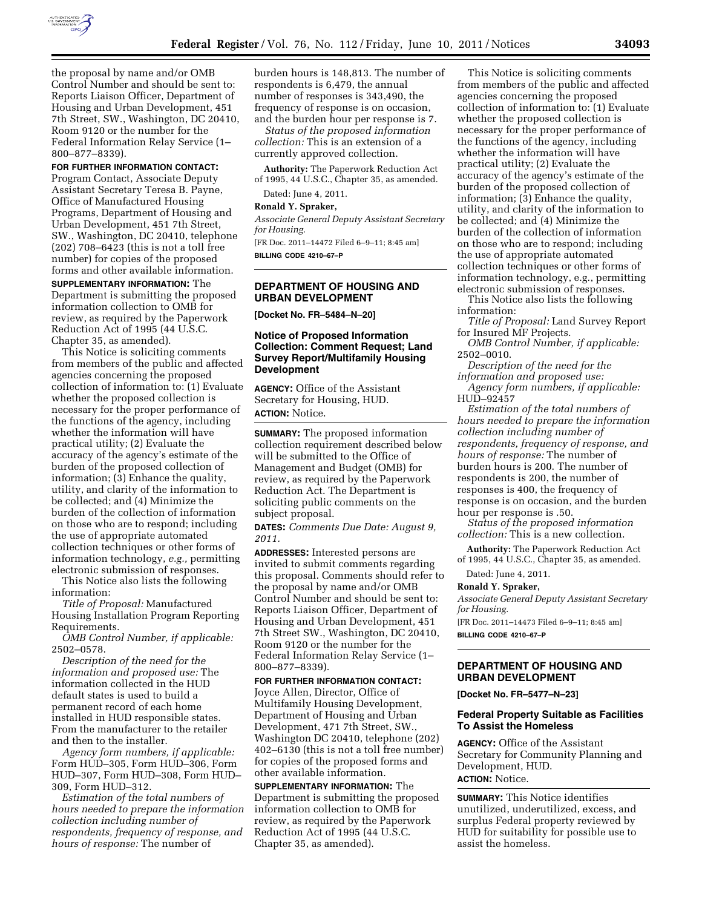

the proposal by name and/or OMB Control Number and should be sent to: Reports Liaison Officer, Department of Housing and Urban Development, 451 7th Street, SW., Washington, DC 20410, Room 9120 or the number for the Federal Information Relay Service (1– 800–877–8339).

### **FOR FURTHER INFORMATION CONTACT:**

Program Contact, Associate Deputy Assistant Secretary Teresa B. Payne, Office of Manufactured Housing Programs, Department of Housing and Urban Development, 451 7th Street, SW., Washington, DC 20410, telephone (202) 708–6423 (this is not a toll free number) for copies of the proposed forms and other available information.

**SUPPLEMENTARY INFORMATION:** The Department is submitting the proposed information collection to OMB for review, as required by the Paperwork Reduction Act of 1995 (44 U.S.C. Chapter 35, as amended).

This Notice is soliciting comments from members of the public and affected agencies concerning the proposed collection of information to: (1) Evaluate whether the proposed collection is necessary for the proper performance of the functions of the agency, including whether the information will have practical utility; (2) Evaluate the accuracy of the agency's estimate of the burden of the proposed collection of information; (3) Enhance the quality, utility, and clarity of the information to be collected; and (4) Minimize the burden of the collection of information on those who are to respond; including the use of appropriate automated collection techniques or other forms of information technology, *e.g.,* permitting electronic submission of responses.

This Notice also lists the following information:

*Title of Proposal:* Manufactured Housing Installation Program Reporting Requirements.

*OMB Control Number, if applicable:*  2502–0578.

*Description of the need for the information and proposed use:* The information collected in the HUD default states is used to build a permanent record of each home installed in HUD responsible states. From the manufacturer to the retailer and then to the installer.

*Agency form numbers, if applicable:*  Form HUD–305, Form HUD–306, Form HUD–307, Form HUD–308, Form HUD– 309, Form HUD–312.

*Estimation of the total numbers of hours needed to prepare the information collection including number of respondents, frequency of response, and hours of response:* The number of

burden hours is 148,813. The number of respondents is 6,479, the annual number of responses is 343,490, the frequency of response is on occasion, and the burden hour per response is 7.

*Status of the proposed information collection:* This is an extension of a currently approved collection.

**Authority:** The Paperwork Reduction Act of 1995, 44 U.S.C., Chapter 35, as amended.

Dated: June 4, 2011.

**Ronald Y. Spraker,** 

*Associate General Deputy Assistant Secretary for Housing.* 

[FR Doc. 2011–14472 Filed 6–9–11; 8:45 am] **BILLING CODE 4210–67–P** 

## **DEPARTMENT OF HOUSING AND URBAN DEVELOPMENT**

**[Docket No. FR–5484–N–20]** 

## **Notice of Proposed Information Collection: Comment Request; Land Survey Report/Multifamily Housing Development**

**AGENCY:** Office of the Assistant Secretary for Housing, HUD. **ACTION:** Notice.

**SUMMARY:** The proposed information collection requirement described below will be submitted to the Office of Management and Budget (OMB) for review, as required by the Paperwork Reduction Act. The Department is soliciting public comments on the subject proposal.

**DATES:** *Comments Due Date: August 9, 2011.* 

**ADDRESSES:** Interested persons are invited to submit comments regarding this proposal. Comments should refer to the proposal by name and/or OMB Control Number and should be sent to: Reports Liaison Officer, Department of Housing and Urban Development, 451 7th Street SW., Washington, DC 20410, Room 9120 or the number for the Federal Information Relay Service (1– 800–877–8339).

**FOR FURTHER INFORMATION CONTACT:**  Joyce Allen, Director, Office of Multifamily Housing Development, Department of Housing and Urban Development, 471 7th Street, SW., Washington DC 20410, telephone (202) 402–6130 (this is not a toll free number) for copies of the proposed forms and other available information.

**SUPPLEMENTARY INFORMATION:** The Department is submitting the proposed information collection to OMB for review, as required by the Paperwork Reduction Act of 1995 (44 U.S.C. Chapter 35, as amended).

This Notice is soliciting comments from members of the public and affected agencies concerning the proposed collection of information to: (1) Evaluate whether the proposed collection is necessary for the proper performance of the functions of the agency, including whether the information will have practical utility; (2) Evaluate the accuracy of the agency's estimate of the burden of the proposed collection of information; (3) Enhance the quality, utility, and clarity of the information to be collected; and (4) Minimize the burden of the collection of information on those who are to respond; including the use of appropriate automated collection techniques or other forms of information technology, e.g., permitting electronic submission of responses.

This Notice also lists the following information:

*Title of Proposal:* Land Survey Report for Insured MF Projects.

*OMB Control Number, if applicable:*  2502–0010.

*Description of the need for the information and proposed use:* 

*Agency form numbers, if applicable:*  HUD–92457

*Estimation of the total numbers of hours needed to prepare the information collection including number of respondents, frequency of response, and hours of response:* The number of burden hours is 200. The number of respondents is 200, the number of responses is 400, the frequency of response is on occasion, and the burden hour per response is .50.

*Status of the proposed information collection:* This is a new collection.

**Authority:** The Paperwork Reduction Act of 1995, 44 U.S.C., Chapter 35, as amended.

Dated: June 4, 2011.

### **Ronald Y. Spraker,**

*Associate General Deputy Assistant Secretary for Housing.* 

[FR Doc. 2011–14473 Filed 6–9–11; 8:45 am] **BILLING CODE 4210–67–P** 

## **DEPARTMENT OF HOUSING AND URBAN DEVELOPMENT**

**[Docket No. FR–5477–N–23]** 

## **Federal Property Suitable as Facilities To Assist the Homeless**

**AGENCY:** Office of the Assistant Secretary for Community Planning and Development, HUD. **ACTION:** Notice.

**SUMMARY:** This Notice identifies unutilized, underutilized, excess, and surplus Federal property reviewed by HUD for suitability for possible use to assist the homeless.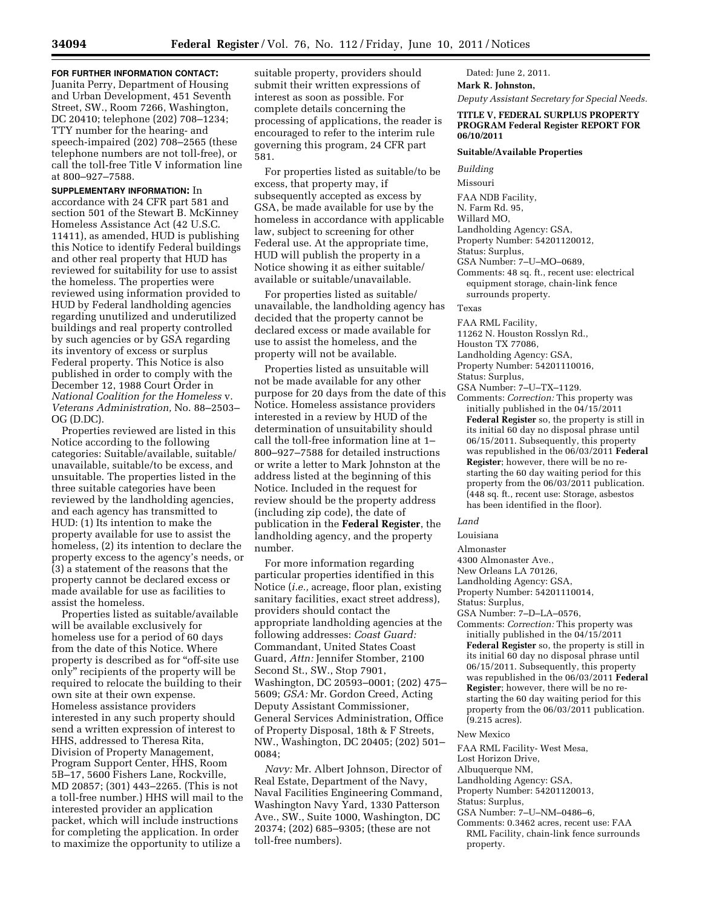# **FOR FURTHER INFORMATION CONTACT:**

Juanita Perry, Department of Housing and Urban Development, 451 Seventh Street, SW., Room 7266, Washington, DC 20410; telephone (202) 708–1234; TTY number for the hearing- and speech-impaired (202) 708–2565 (these telephone numbers are not toll-free), or call the toll-free Title V information line at 800–927–7588.

**SUPPLEMENTARY INFORMATION:** In accordance with 24 CFR part 581 and section 501 of the Stewart B. McKinney Homeless Assistance Act (42 U.S.C. 11411), as amended, HUD is publishing this Notice to identify Federal buildings and other real property that HUD has reviewed for suitability for use to assist the homeless. The properties were reviewed using information provided to HUD by Federal landholding agencies regarding unutilized and underutilized buildings and real property controlled by such agencies or by GSA regarding its inventory of excess or surplus Federal property. This Notice is also published in order to comply with the December 12, 1988 Court Order in *National Coalition for the Homeless* v. *Veterans Administration,* No. 88–2503– OG (D.DC).

Properties reviewed are listed in this Notice according to the following categories: Suitable/available, suitable/ unavailable, suitable/to be excess, and unsuitable. The properties listed in the three suitable categories have been reviewed by the landholding agencies, and each agency has transmitted to HUD: (1) Its intention to make the property available for use to assist the homeless, (2) its intention to declare the property excess to the agency's needs, or (3) a statement of the reasons that the property cannot be declared excess or made available for use as facilities to assist the homeless.

Properties listed as suitable/available will be available exclusively for homeless use for a period of 60 days from the date of this Notice. Where property is described as for "off-site use only'' recipients of the property will be required to relocate the building to their own site at their own expense. Homeless assistance providers interested in any such property should send a written expression of interest to HHS, addressed to Theresa Rita, Division of Property Management, Program Support Center, HHS, Room 5B–17, 5600 Fishers Lane, Rockville, MD 20857; (301) 443–2265. (This is not a toll-free number.) HHS will mail to the interested provider an application packet, which will include instructions for completing the application. In order to maximize the opportunity to utilize a

suitable property, providers should submit their written expressions of interest as soon as possible. For complete details concerning the processing of applications, the reader is encouraged to refer to the interim rule governing this program, 24 CFR part 581.

For properties listed as suitable/to be excess, that property may, if subsequently accepted as excess by GSA, be made available for use by the homeless in accordance with applicable law, subject to screening for other Federal use. At the appropriate time, HUD will publish the property in a Notice showing it as either suitable/ available or suitable/unavailable.

For properties listed as suitable/ unavailable, the landholding agency has decided that the property cannot be declared excess or made available for use to assist the homeless, and the property will not be available.

Properties listed as unsuitable will not be made available for any other purpose for 20 days from the date of this Notice. Homeless assistance providers interested in a review by HUD of the determination of unsuitability should call the toll-free information line at 1– 800–927–7588 for detailed instructions or write a letter to Mark Johnston at the address listed at the beginning of this Notice. Included in the request for review should be the property address (including zip code), the date of publication in the **Federal Register**, the landholding agency, and the property number.

For more information regarding particular properties identified in this Notice (*i.e.,* acreage, floor plan, existing sanitary facilities, exact street address), providers should contact the appropriate landholding agencies at the following addresses: *Coast Guard:*  Commandant, United States Coast Guard, *Attn:* Jennifer Stomber, 2100 Second St., SW., Stop 7901, Washington, DC 20593–0001; (202) 475– 5609; *GSA:* Mr. Gordon Creed, Acting Deputy Assistant Commissioner, General Services Administration, Office of Property Disposal, 18th & F Streets, NW., Washington, DC 20405; (202) 501– 0084;

*Navy:* Mr. Albert Johnson, Director of Real Estate, Department of the Navy, Naval Facilities Engineering Command, Washington Navy Yard, 1330 Patterson Ave., SW., Suite 1000, Washington, DC 20374; (202) 685–9305; (these are not toll-free numbers).

Dated: June 2, 2011. **Mark R. Johnston,** 

*Deputy Assistant Secretary for Special Needs.* 

## **TITLE V, FEDERAL SURPLUS PROPERTY PROGRAM Federal Register REPORT FOR 06/10/2011**

# **Suitable/Available Properties**

*Building* 

Missouri

FAA NDB Facility,

- N. Farm Rd. 95,
- Willard MO,

Landholding Agency: GSA,

- Property Number: 54201120012,
- Status: Surplus,

GSA Number: 7–U–MO–0689,

Comments: 48 sq. ft., recent use: electrical equipment storage, chain-link fence surrounds property.

Texas

- FAA RML Facility,
- 11262 N. Houston Rosslyn Rd.,

Houston TX 77086,

Landholding Agency: GSA,

Property Number: 54201110016,

Status: Surplus,

- GSA Number: 7–U–TX–1129.
- Comments: *Correction:* This property was initially published in the 04/15/2011 **Federal Register** so, the property is still in its initial 60 day no disposal phrase until 06/15/2011. Subsequently, this property was republished in the 06/03/2011 **Federal Register**; however, there will be no restarting the 60 day waiting period for this property from the 06/03/2011 publication. (448 sq. ft., recent use: Storage, asbestos has been identified in the floor).

## *Land*

Louisiana

Almonaster

4300 Almonaster Ave.,

- New Orleans LA 70126,
- Landholding Agency: GSA,

Property Number: 54201110014,

Status: Surplus,

GSA Number: 7–D–LA–0576,

Comments: *Correction:* This property was initially published in the 04/15/2011 **Federal Register** so, the property is still in its initial 60 day no disposal phrase until 06/15/2011. Subsequently, this property was republished in the 06/03/2011 **Federal Register**; however, there will be no restarting the 60 day waiting period for this property from the 06/03/2011 publication. (9.215 acres).

#### New Mexico

FAA RML Facility- West Mesa,

Lost Horizon Drive,

- Albuquerque NM,
- Landholding Agency: GSA,
- Property Number: 54201120013,
- Status: Surplus,
- GSA Number: 7–U–NM–0486–6,
- Comments: 0.3462 acres, recent use: FAA RML Facility, chain-link fence surrounds property.